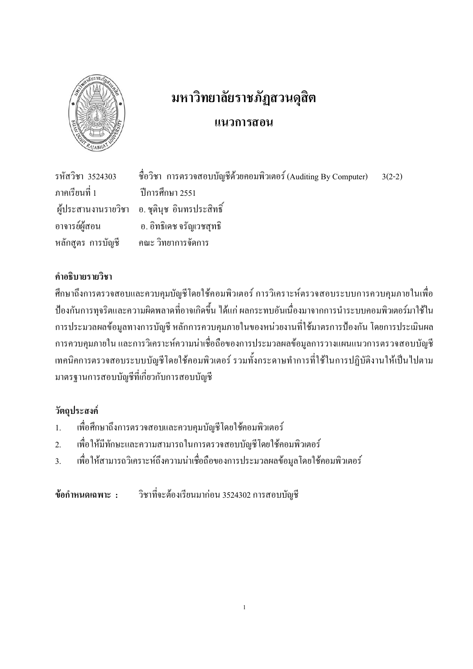

# มหาวิทยาลัยราชภัฏสวนดุสิต แนวการ<mark>สอ</mark>น

รหัสวิชา 3524303 3524303 ซื่อวิชา การตรวจสอบบัญชีด้วยคอมพิวเตอร์ (Auditing By Computer) 3(2-2) ภาคเรียนที่ 1 ปีการศึกษา 2551 ผู้ประสานงานรายวิชา ือ. ชุตินุช อินทรประสิทธิ์ อาจารเ อ. อิทธิเคช จรัญเวชสุทธิ หลักสูตร การบัญชี รบัญชี คณะ วิทยาการจัดการ

## คำอธิบายรายวิชา

ศึกษาถึงการตรวจสอบและควบคุมบัญชีโดยใช้คอมพิวเตอร์ การวิเคราะห์ตรวจสอบระบบการควบคุมภายในเพื่อ ป้องกันการทุจริตและความผิดพลาดที่อาจเกิดขึ้น ได้แก่ ผลกระทบอันเนื่องมาจากการนำระบบคอมพิวเตอร์มาใช้ใน การประมวลผลข้อมูลทางการบัญชี หลักการควบคุมภายในของหน่วยงานที่ใช้มาตรการป้องกัน โดยการประเมินผล การควบคุมภายใน และการวิเคราะห์ความน่าเชื่อถือของการประมวลผลข้อมูลการวางแผนแนวการตรวจสอบบัญชี เทคนิคการตรวจสอบระบบบัญชีโดยใช้คอมพิวเตอร์ รวมทั้งกระดาษทำการที่ใช้ในการปฏิบัติงานให้เป็นไปตาม มาตรฐานการสอบบัญชีที่เกี่ยวกับการสอบบัญชี

## วัตถุประสงค์

- $1.$ . เพื่อศึกษาถึงการตรวจสอบและควบคุมบัญชีโดยใช้คอมพิวเตอร์
- 2. เพื่อให้มีทักษะและความสามารถในการตรวจสอบบัญชีโคยใช้คอมพิวเตอร์
- 3. เพื่อให้สามารถวิเคราะห์ถึงความน่าเชื่อถือของการประมวลผลข้อมูลโดยใช้คอมพิวเตอร์

ข้อกำหนดเฉพาะ : วิชาที่ ที่จะต้องเรียนมาก่อน 3524302 การสอบบัญชี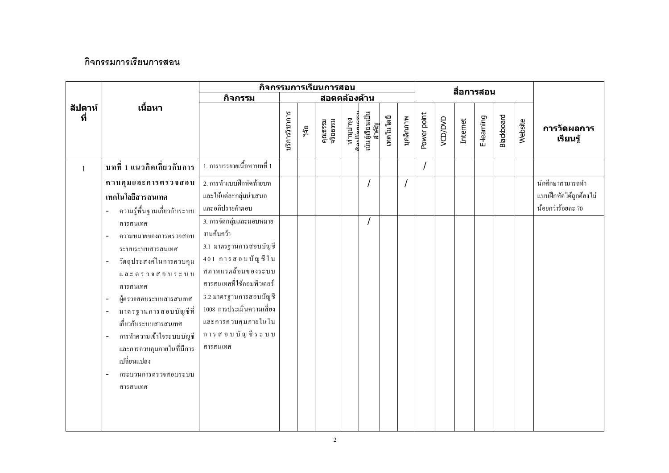## กิจกรรมการเรียนการสอน

|                |                                                                                                                                                                                                                                                                                                                                                                                                                                                                                                                                                         |                                                                                                                                                                                                                                                                                                                               |               |       | กิจกรรมการเรียนการสอน |                                                      |                           |           |           |             |         | สื่อการสอน |            |                   |         |                                                                 |
|----------------|---------------------------------------------------------------------------------------------------------------------------------------------------------------------------------------------------------------------------------------------------------------------------------------------------------------------------------------------------------------------------------------------------------------------------------------------------------------------------------------------------------------------------------------------------------|-------------------------------------------------------------------------------------------------------------------------------------------------------------------------------------------------------------------------------------------------------------------------------------------------------------------------------|---------------|-------|-----------------------|------------------------------------------------------|---------------------------|-----------|-----------|-------------|---------|------------|------------|-------------------|---------|-----------------------------------------------------------------|
|                |                                                                                                                                                                                                                                                                                                                                                                                                                                                                                                                                                         | กิจกรรม                                                                                                                                                                                                                                                                                                                       |               |       | สอดคล้องด้าน          |                                                      |                           |           |           |             |         |            |            |                   |         |                                                                 |
| สัปดาห์<br>ที่ | เนื้อหา                                                                                                                                                                                                                                                                                                                                                                                                                                                                                                                                                 |                                                                                                                                                                                                                                                                                                                               | บริการวิชาการ | วิจัย | คุณธรรม<br>จริยธรรม   | ทำนุบำรุง<br><del>ล</del> ื่อง <sup>ไร</sup> ้องเธรร | เน้นผู้เรียนเป็น<br>สำคัญ | เทคโนโลยี | บุคลิกภาพ | Power point | VCD/DVD | Internet   | E-learning | <b>Blackboard</b> | Website | การวัดผลการ<br>เรียนรู้                                         |
| $\mathbf{1}$   | บทที่ 1 แนวคิดเกี่ยวกับการ                                                                                                                                                                                                                                                                                                                                                                                                                                                                                                                              | 1. การบรรยายเนื้อหาบทที่ 1                                                                                                                                                                                                                                                                                                    |               |       |                       |                                                      |                           |           |           |             |         |            |            |                   |         |                                                                 |
|                | ควบคุมและการตรวจสอบ<br>เทคโนโลยีสารสนเทศ<br>ความรู้พื้นฐานเกี่ยวกับระบบ<br>สารสนเทศ<br>ความหมายของการตรวจสอบ<br>ระบบระบบสารสนเทศ<br>วัตถุประสงค์ในการควบคุม<br>$\mathfrak{u}$ $\mathfrak{a}$ $\mathfrak{s}$ $\mathfrak{a}$ $\mathfrak{a}$ $\mathfrak{a}$ $\mathfrak{a}$ $\mathfrak{b}$ $\mathfrak{b}$ $\mathfrak{c}$ $\mathfrak{v}$ $\mathfrak{v}$<br>สารสนเทศ<br>ผู้ตรวจสอบระบบสารสนเทศ<br>มาตรฐานการสอบบัญชีที่<br>เกี่ยวกับระบบสารสนเทศ<br>การทำความเข้าใจระบบบัญชี<br>และการควบคุมภายในที่มีการ<br>้เปลี่ยนแปลง<br>กระบวนการตรวจสอบระบบ<br>สารสนเทศ | 2. การทำแบบฝึกหัดท้ายบท<br>และให้แต่ละกลุ่มนำเสนอ<br>และอภิปรายคำตอบ<br>3. การจัดกลุ่มและมอบหมาย<br>งานค้นคว้า<br>3.1 มาตรฐานการสอบบัญชี<br>401 การสอบบัญชีใน<br>สภาพแวดล้อมของระบบ<br>สารสนเทศที่ใช้คอมพิวเตอร์<br>3.2 มาตรฐานการสอบบัญชี<br>1008 การประเมินความเสี่ยง<br>และการควบคุมภายในใน<br>การสอบบัญชีระบบ<br>สารสนเทศ |               |       |                       |                                                      |                           |           |           |             |         |            |            |                   |         | นักศึกษาสามารถทำ<br>แบบฝึกหัดใค้ถูกต้องไม่<br>น้อยกว่าร้อยละ 70 |
|                |                                                                                                                                                                                                                                                                                                                                                                                                                                                                                                                                                         |                                                                                                                                                                                                                                                                                                                               |               |       |                       |                                                      |                           |           |           |             |         |            |            |                   |         |                                                                 |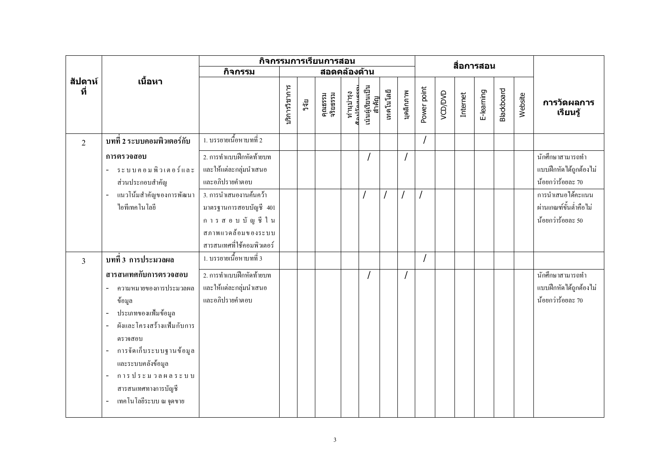|                |                                                                                                                                                                                                                                              |                                                                                                                       |               |       | กิจกรรมการเรียนการสอน |                                                      |                           |           |           |             |         |          | สื่อการสอน |            |         |                                                                  |
|----------------|----------------------------------------------------------------------------------------------------------------------------------------------------------------------------------------------------------------------------------------------|-----------------------------------------------------------------------------------------------------------------------|---------------|-------|-----------------------|------------------------------------------------------|---------------------------|-----------|-----------|-------------|---------|----------|------------|------------|---------|------------------------------------------------------------------|
|                |                                                                                                                                                                                                                                              | กิจกรรม                                                                                                               |               |       | สอดคล้องด้าน          |                                                      |                           |           |           |             |         |          |            |            |         |                                                                  |
| สัปดาห์<br>ที่ | เนื้อหา                                                                                                                                                                                                                                      |                                                                                                                       | ปริการวิชาการ | วิจัย | คุณธรรม<br>จริยธรรม   | ทำนุบำรุง<br><del>ม</del> ือง <sup>เร</sup> ื่องแครร | เน้นผู้เรียนเป็น<br>สำคัญ | เทคโนโลยี | บุคลิกภาพ | Power point | VCD/DVD | Internet | E-learning | Blackboard | Website | การวัดผลการ<br>เรียนรู้                                          |
| 2              | ิบทที่ 2 ระบบคอมพิวเตอร์กับ                                                                                                                                                                                                                  | 1. บรรยายเนื้อหาบทที่ 2                                                                                               |               |       |                       |                                                      |                           |           |           |             |         |          |            |            |         |                                                                  |
|                | การตรวจสอบ<br>ระบบคอมพิวเตอร์และ<br>ส่วนประกอบสำคัญ                                                                                                                                                                                          | 2. การทำแบบฝึกหัดท้ายบท<br>และให้แต่ละกลุ่มนำเสนอ<br>และอภิปรายคำตอบ                                                  |               |       |                       |                                                      |                           |           |           |             |         |          |            |            |         | นักศึกษาสามารถทำ<br>แบบฝึกหัดได้ถูกต้องไม่<br>น้อยกว่าร้อยละ 70  |
|                | แนวโน้มสำคัญของการพัฒนา<br><b>ไอทีเทคโนโล</b> ยี                                                                                                                                                                                             | 3. การนำเสนองานค้นคว้า<br>มาตรฐานการสอบบัญชี 401<br>การสอบบัญ ชีใน<br>สภาพแวดล้อมของระบบ<br>สารสนเทศที่ใช้คอมพิวเตอร์ |               |       |                       |                                                      |                           |           |           |             |         |          |            |            |         | การนำเสนอได้คะแนน<br>ผ่านเกณฑ์ขั้นต่ำคือไม่<br>น้อยกว่าร้อยละ 50 |
| $\overline{3}$ | บทที่ 3 การประมวลผล                                                                                                                                                                                                                          | 1. บรรยายเนื้อหาบทที่ 3                                                                                               |               |       |                       |                                                      |                           |           |           |             |         |          |            |            |         |                                                                  |
|                | สารสนเทศกับการตรวจสอบ<br>ความหมายของการประมวลผล<br>ข้อมูล<br>ประเภทของแฟ้มข้อมูล<br>ผังและโครงสร้างแฟ้มกับการ<br>ตรวจสอบ<br>การจัดเก็บระบบฐานข้อมูล<br>และระบบคลังข้อมูล<br>การประมวลผลระบบ<br>สารสนเทศทางการบัญชี<br>เทคโนโลยีระบบ ณ จุดขาย | 2. การทำแบบฝึกหัดท้ายบท<br>และให้แต่ละกลุ่มนำเสนอ<br>และอภิปรายคำตอบ                                                  |               |       |                       |                                                      |                           |           |           |             |         |          |            |            |         | นักศึกษาสามารถทำ<br>แบบฝึกหัดได้ถูกต้องไม่<br>น้อยกว่าร้อยละ 70  |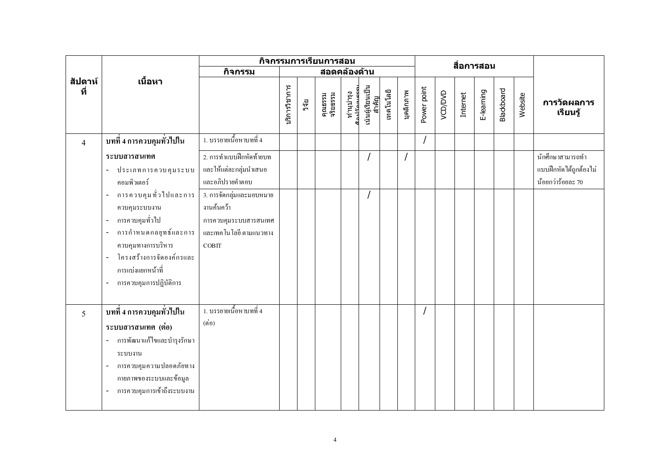|                 |                                                                                                                                                                                                                                                                      |                                                                                                           |               |       | กิจกรรมการเรียนการสอน |                                                      |                           |           |           |             |         | สื่อการสอน |            |            |         |                                                                 |
|-----------------|----------------------------------------------------------------------------------------------------------------------------------------------------------------------------------------------------------------------------------------------------------------------|-----------------------------------------------------------------------------------------------------------|---------------|-------|-----------------------|------------------------------------------------------|---------------------------|-----------|-----------|-------------|---------|------------|------------|------------|---------|-----------------------------------------------------------------|
|                 |                                                                                                                                                                                                                                                                      | กิจกรรม                                                                                                   |               |       | สอดคล้องด้าน          |                                                      |                           |           |           |             |         |            |            |            |         |                                                                 |
| สัปดาห์<br>ที่  | เนื้อหา                                                                                                                                                                                                                                                              |                                                                                                           | ⊔ริการวิชาการ | วิจัย | คุณธรรม<br>จริยธรรม   | ทำนุบำรุง<br><sub>เื้อง</sub> เรื <sub>้องเครร</sub> | เน้นผู้เรียนเป็น<br>สำคัญ | เทคโนโลยี | บุคลิกภาพ | Power point | VCD/DVD | Internet   | E-learning | Blackboard | Website | การวัดผลการ<br>เรียนรู้                                         |
| $\overline{4}$  | บทที่ 4 การควบคุมทั่วไปใน                                                                                                                                                                                                                                            | 1. บรรยายเนื้อหาบทที่ 4                                                                                   |               |       |                       |                                                      |                           |           |           |             |         |            |            |            |         |                                                                 |
|                 | ระบบสารสนเทศ<br>- ประเภทการควบคุมระบบ<br>คอมพิวเตอร์                                                                                                                                                                                                                 | 2. การทำแบบฝึกหัดท้ายบท<br>และให้แต่ละกลุ่มนำเสนอ<br>และอภิปรายคำตอบ                                      |               |       |                       |                                                      |                           |           |           |             |         |            |            |            |         | นักศึกษาสามารถทำ<br>แบบฝึกหัดใค้ถูกต้องไม่<br>น้อยกว่าร้อยละ 70 |
|                 | - การควบคุมทั่วไปและการ<br>ควบคุมระบบงาน<br>การควบคุมทั่วไป<br>$\Box$<br>การกำหนดกล <sub>ะ</sub> ขุทธ์และการ<br>$\blacksquare$<br>ควบคุมทางการบริหาร<br>โครงสร้างการจัดองค์กรและ<br>÷,<br><sub>ิ</sub> การแบ่งแยกหน้าที่<br>การควบคุมการปฏิบัติการ<br>$\blacksquare$ | 3. การจัดกลุ่มและมอบหมาย<br>งานค้นคว้า<br>การควบคุมระบบสารสนเทศ<br>และเทคโนโลยี ตามแนวทาง<br><b>COBIT</b> |               |       |                       |                                                      |                           |           |           |             |         |            |            |            |         |                                                                 |
| $5\overline{)}$ | บทที่ 4 การควบคุมทั่วไปใน<br>ระบบสารสนเทศ (ต่อ)<br>- การพัฒนาแก้ไขและบำรุงรักษา<br>ระบบงาน<br>การควบคุมความปลอดภัยทาง<br>$\blacksquare$<br>กายภาพของระบบและข้อมูล<br>การควบคุมการเข้าถึงระบบงาน                                                                      | 1. บรรยายเนื้อหาบทที่ 4<br>$(\vec{p} \vec{v})$                                                            |               |       |                       |                                                      |                           |           |           |             |         |            |            |            |         |                                                                 |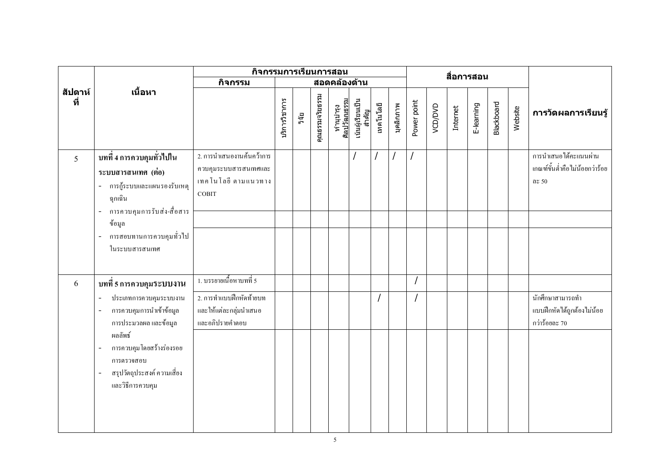|                |                                                                                                                        | กิจกรรมการเรียนการสอน                                                                     |               |       |                 |                           |                           |           |           |             |         |          | สื่อการสอน |            |         |                                                                   |
|----------------|------------------------------------------------------------------------------------------------------------------------|-------------------------------------------------------------------------------------------|---------------|-------|-----------------|---------------------------|---------------------------|-----------|-----------|-------------|---------|----------|------------|------------|---------|-------------------------------------------------------------------|
|                |                                                                                                                        | กิจกรรม                                                                                   |               |       |                 | สอดคล้องด้าน              |                           |           |           |             |         |          |            |            |         |                                                                   |
| สัปดาห์<br>ที่ | เนื้อหา                                                                                                                |                                                                                           | บริการวิชาการ | วิจัย | คุณธรรมจริยธรรม | ทำนุบำรุง<br>ศิลปวัฒนธรรม | เน้นผู้เรียนเป็น<br>สำคัญ | เทคโนโลยี | บุคลิกภาพ | Power point | VCD/DVD | Internet | E-learning | Blackboard | Website | การวัดผลการเรียนรู้                                               |
| 5              | บทที่ 4 การควบคุมทั่วไปใน<br>ระบบสารสนเทศ (ต่อ)<br>การกู้ระบบและแผนรองรับเหตุ<br>ฉุกเฉิน<br>การควบคุมการรับส่ง-สื่อสาร | 2. การนำเสนองานค้นคว้าการ<br>ควบคุมระบบสารสนเทศและ<br>เทคโนโลยี ตามแนวทาง<br><b>COBIT</b> |               |       |                 |                           |                           |           |           |             |         |          |            |            |         | การนำเสนอ ได้คะแนนผ่าน<br>เกณฑ์ขั้นต่ำคือไม่น้อยกว่าร้อย<br>ดะ 50 |
|                | ข้อมูล                                                                                                                 |                                                                                           |               |       |                 |                           |                           |           |           |             |         |          |            |            |         |                                                                   |
|                | การสอบทานการควบคุมทั่วไป<br>ในระบบสารสนเทศ                                                                             |                                                                                           |               |       |                 |                           |                           |           |           |             |         |          |            |            |         |                                                                   |
| 6              | บทที่ 5 การควบคุมระบบงาน                                                                                               | 1. บรรยายเนื้อหาบทที่ 5                                                                   |               |       |                 |                           |                           |           |           |             |         |          |            |            |         |                                                                   |
|                | ประเภทการควบคุมระบบงาน<br>การควบคุมการนำเข้าข้อมูล<br>$\overline{a}$<br>การประมวลผล และข้อมูล                          | 2. การทำแบบฝึกหัดท้ายบท<br>และให้แต่ละกลุ่มนำเสนอ<br>และอภิปรายคำตอบ                      |               |       |                 |                           |                           |           |           |             |         |          |            |            |         | นักศึกษาสามารถทำ<br>แบบฝึกหัดได้ถูกต้องไม่น้อย<br>กว่าร้อยละ 70   |
|                | ผลลัพธ์<br>การควบคุม โดยสร้างร่องรอย<br>การตรวจสอบ<br>สรุปวัตถุประสงค์ ความเสี่ยง<br>และวิธีการควบคุม                  |                                                                                           |               |       |                 |                           |                           |           |           |             |         |          |            |            |         |                                                                   |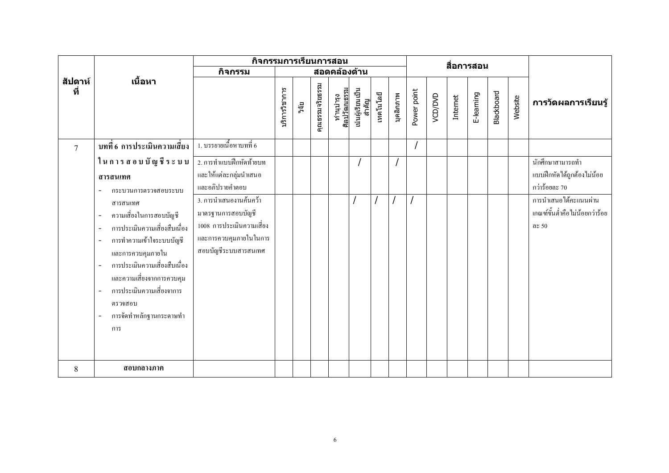|                |                                                                                                                                                                                                                                                               | กิจกรรมการเรียนการสอน                                                                                                       |               |       |                 |                           |                           |           |           |             |         |          | สื่อการสอน |                   |         |                                                                  |
|----------------|---------------------------------------------------------------------------------------------------------------------------------------------------------------------------------------------------------------------------------------------------------------|-----------------------------------------------------------------------------------------------------------------------------|---------------|-------|-----------------|---------------------------|---------------------------|-----------|-----------|-------------|---------|----------|------------|-------------------|---------|------------------------------------------------------------------|
|                |                                                                                                                                                                                                                                                               | กิจกรรม                                                                                                                     |               |       |                 | สอดคล้องด้าน              |                           |           |           |             |         |          |            |                   |         |                                                                  |
| สัปดาห์<br>ที่ | เนื้อหา                                                                                                                                                                                                                                                       |                                                                                                                             | บริการวิชาการ | วิจัย | คุณธรรมจริยธรรม | ทำนุบำรุง<br>ศิลปวัฒนธรรม | เน้นผู้เรียนเป็น<br>สำคัญ | เทคโนโลยี | บุคลิกภาพ | Power point | VCD/DVD | Internet | E-learning | <b>Blackboard</b> | Website | การวัดผลการเรียนรู้                                              |
| $\overline{7}$ | บทที่ 6 การประเมินความเสี่ยง                                                                                                                                                                                                                                  | 1. บรรยายเนื้อหาบทที่ 6                                                                                                     |               |       |                 |                           |                           |           |           |             |         |          |            |                   |         |                                                                  |
|                | ใน การ ส อ บ บั ญ ชี ร ะ บ บ<br>สารสนเทศ<br>กระบวนการตรวจสอบระบบ                                                                                                                                                                                              | 2. การทำแบบฝึกหัดท้ายบท<br>และให้แต่ละกลุ่มนำเสนอ<br>และอภิปรายคำตอบ                                                        |               |       |                 |                           |                           |           |           |             |         |          |            |                   |         | นักศึกษาสามารถทำ<br>แบบฝึกหัดได้ถูกต้องไม่น้อย<br>กว่าร้อยละ 70  |
|                | สารสนเทศ<br>ความเสี่ยงในการสอบบัญชี<br>การประเมินความเสี่ยงสืบเนื่อง<br>การทำความเข้าใจระบบบัญชี<br>และการควบคุมภายใน<br>การประเมินความเสี่ยงสืบเนื่อง<br>และความเสี่ยงจากการควบคุม<br>การประเมินความเสี่ยงจาการ<br>ตรวจสอบ<br>การจัดทำหลักฐานกระดาษทำ<br>การ | 3. การนำเสนองานค้นคว้า<br>มาตรฐานการสอบบัญชี<br>1008 การประเมินความเสี่ยง<br>และการควบคุมภายในในการ<br>สอบบัญชีระบบสารสนเทศ |               |       |                 |                           |                           |           |           |             |         |          |            |                   |         | การนำเสนอได้คะแนนผ่าน<br>เกณฑ์ขั้นต่ำคือไม่น้อยกว่าร้อย<br>ดะ 50 |
| 8              | สอบกลางภาค                                                                                                                                                                                                                                                    |                                                                                                                             |               |       |                 |                           |                           |           |           |             |         |          |            |                   |         |                                                                  |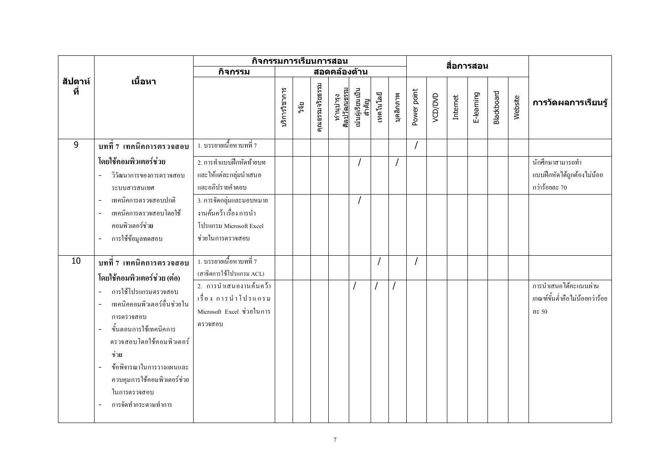|                |                                                                                                                                                                                                                                                                  | กิจกรรมการเรียนการสอน                                                                              |               |       |                 |                           |                           |           |           |             |         |          | สื่อการสอน |                   |         |                                                                  |
|----------------|------------------------------------------------------------------------------------------------------------------------------------------------------------------------------------------------------------------------------------------------------------------|----------------------------------------------------------------------------------------------------|---------------|-------|-----------------|---------------------------|---------------------------|-----------|-----------|-------------|---------|----------|------------|-------------------|---------|------------------------------------------------------------------|
|                |                                                                                                                                                                                                                                                                  | กิจกรรม                                                                                            |               |       |                 | ีสอดคล้องด้า <b>น</b>     |                           |           |           |             |         |          |            |                   |         |                                                                  |
| สัปดาห์<br>ที่ | เนื้อหา                                                                                                                                                                                                                                                          |                                                                                                    | บริการวิชาการ | วิจัย | คุณธรรมจริยธรรม | ทำนุบำรุง<br>ศิลปวัฒนธรรม | เน้นผู้เรียนเป็น<br>สำคัญ | เทคโนโลยี | บุคลิกภาพ | Power point | VCD/DVD | Internet | E-learning | <b>Blackboard</b> | Website | การวัดผลการเรียนรู้                                              |
| 9              | บทที่ 7 เทคนิคการตรวจสอบ                                                                                                                                                                                                                                         | 1. บรรยายเนื้อหาบทที่ 7                                                                            |               |       |                 |                           |                           |           |           |             |         |          |            |                   |         |                                                                  |
|                | โดยใช้คอมพิวเตอร์ช่วย<br>วิวัฒนาการของการตรวจสอบ<br>ระบบสารสนเทศ                                                                                                                                                                                                 | 2. การทำแบบฝึกหัดท้ายบท<br>และให้แต่ละกลุ่มนำเสนอ<br>และอภิปรายคำตอบ                               |               |       |                 |                           |                           |           |           |             |         |          |            |                   |         | นักศึกษาสามารถทำ<br>แบบฝึกหัดได้ถูกต้องไม่น้อย<br>กว่าร้อยละ 70  |
|                | เทคนิคการตรวจสอบปกติ<br>เทคนิคการตรวจสอบโดยใช้<br>คอมพิวเตอร์ช่วย<br>การใช้ข้อมูลทดสอบ                                                                                                                                                                           | 3. การจัดกลุ่มและมอบหมาย<br>งานค้นคว้า เรื่อง การนำ<br>โปรแกรม Microsoft Excel<br>ช่วยในการตรวจสอบ |               |       |                 |                           |                           |           |           |             |         |          |            |                   |         |                                                                  |
| 10             | บทที่ 7 เทคนิคการตรวจสอบ                                                                                                                                                                                                                                         | 1. บรรยายเนื้อหาบทที่ 7<br>(สาธิตการใช้โปรแกรม ACL)                                                |               |       |                 |                           |                           |           |           |             |         |          |            |                   |         |                                                                  |
|                | โดยใช้คอมพิวเตอร์ช่วย (ต่อ)<br>การใช้โปรแกรมตรวจสอบ<br>เทคนิคคอมพิวเตอร์อื่นช่วยใน<br>การตรวจสอบ<br>ขั้นตอนการใช้เทคนิคการ<br>ตรวจสอบโดยใช้คอมพิวเตอร์<br>ช่วย<br>ข้อพิจารณาในการวางแผนและ<br>ควบคุมการใช้คอมพิวเตอร์ช่วย<br>ในการตรวจสอบ<br>การจัดทำกระดาษทำการ | 2. การนำเสนองานค้นคว้า<br>้เรื่อง การนำโปรแกรม<br>Microsoft Excel ช่วยในการ<br>ตรวจสอบ             |               |       |                 |                           |                           |           |           |             |         |          |            |                   |         | การนำเสนอได้คะแนนผ่าน<br>เกณฑ์ขั้นต่ำคือไม่น้อยกว่าร้อย<br>ดะ 50 |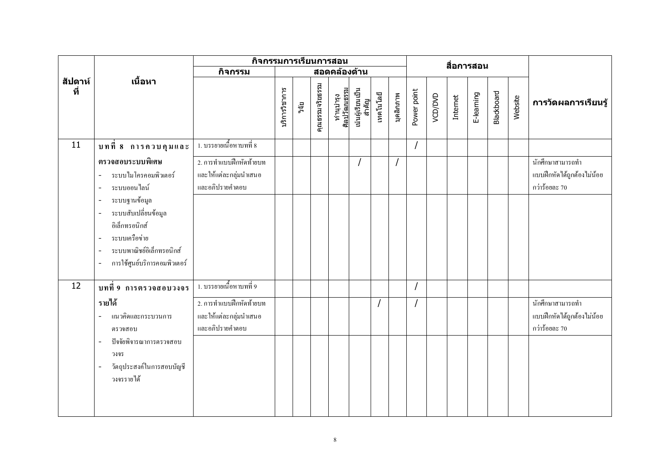|                |                                                                                                                                        | กิจกรรมการเรียนการสอน                                                |               |       |                 |                           |                           |           |           |             |         |          | สื่อการสอน |                   |         |                                                                 |
|----------------|----------------------------------------------------------------------------------------------------------------------------------------|----------------------------------------------------------------------|---------------|-------|-----------------|---------------------------|---------------------------|-----------|-----------|-------------|---------|----------|------------|-------------------|---------|-----------------------------------------------------------------|
|                |                                                                                                                                        | กิจกรรม                                                              |               |       |                 | สอดคล้องด้าน              |                           |           |           |             |         |          |            |                   |         |                                                                 |
| สัปดาห์<br>ที่ | เนื้อหา                                                                                                                                |                                                                      | บริการวิชาการ | วิจัย | คุณธรรมจริยธรรม | ทำนุบำรุง<br>ศิลปวัฒนธรรม | เน้นผู้เรียนเป็น<br>สำคัญ | เทคโนโลยี | บุคลิกภาพ | Power point | VCD/DVD | Internet | E-learning | <b>Blackboard</b> | Website | การวัดผลการเรียนรู้                                             |
| 11             | บทที่ 8 การควบคุมและ                                                                                                                   | 1. บรรยายเนื้อหาบทที่ 8                                              |               |       |                 |                           |                           |           |           |             |         |          |            |                   |         |                                                                 |
|                | ตรวจสอบระบบพิเศษ<br>ระบบใมโครคอมพิวเตอร์<br>ระบบออนไลน์                                                                                | 2. การทำแบบฝึกหัดท้ายบท<br>และให้แต่ละกลุ่มนำเสนอ<br>และอภิปรายคำตอบ |               |       |                 |                           |                           |           |           |             |         |          |            |                   |         | นักศึกษาสามารถทำ<br>แบบฝึกหัดได้ถูกต้องไม่น้อย<br>กว่าร้อยละ 70 |
|                | ระบบฐานข้อมูล<br>ระบบสับเปลี่ยนข้อมูล<br>อิเล็กทรอนิกส์<br>ระบบเครื่อข่าย<br>ระบบพาณิชย์อิเล็กทรอนิกส์<br>การใช้ศูนย์บริการคอมพิวเตอร์ |                                                                      |               |       |                 |                           |                           |           |           |             |         |          |            |                   |         |                                                                 |
| 12             | บทที่ 9 การตรวจสอบวงจร                                                                                                                 | 1. บรรยายเนื้อหาบทที่ 9                                              |               |       |                 |                           |                           |           |           |             |         |          |            |                   |         |                                                                 |
|                | รายได้<br>แนวคิดและกระบวนการ<br>ตรวจสอบ                                                                                                | 2. การทำแบบฝึกหัดท้ายบท<br>และให้แต่ละกลุ่มนำเสนอ<br>และอภิปรายคำตอบ |               |       |                 |                           |                           |           |           |             |         |          |            |                   |         | นักศึกษาสามารถทำ<br>แบบฝึกหัดได้ถูกต้องไม่น้อย<br>กว่าร้อยละ 70 |
|                | ปัจจัยพิจารณาการตรวจสอบ<br>$\blacksquare$<br>วงจร<br>วัตถุประสงค์ในการสอบบัญชี<br>วงจรรายได้                                           |                                                                      |               |       |                 |                           |                           |           |           |             |         |          |            |                   |         |                                                                 |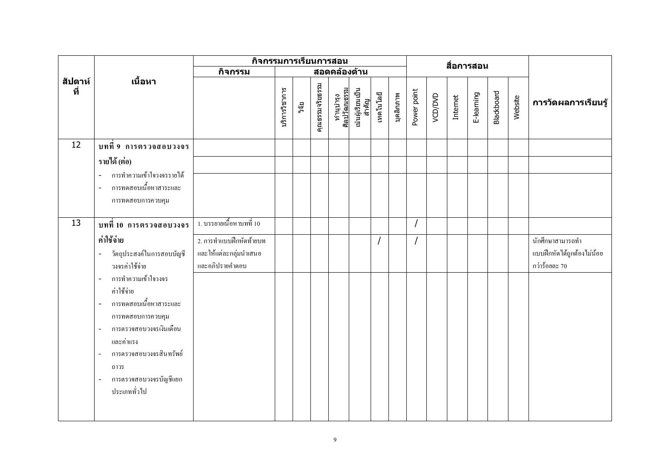|                |                                                                                                                                                                                                                                                                                                          | กิจกรรมการเรียนการสอน                                                |               |       |                 |                           |                           |           |           |             |         | สื่อการสอน |            |                   |         |                                                                 |
|----------------|----------------------------------------------------------------------------------------------------------------------------------------------------------------------------------------------------------------------------------------------------------------------------------------------------------|----------------------------------------------------------------------|---------------|-------|-----------------|---------------------------|---------------------------|-----------|-----------|-------------|---------|------------|------------|-------------------|---------|-----------------------------------------------------------------|
|                |                                                                                                                                                                                                                                                                                                          | กิจกรรม                                                              |               |       |                 | สอดคล้องด้าน              |                           |           |           |             |         |            |            |                   |         |                                                                 |
| สัปดาห์<br>ที่ | เนื้อหา                                                                                                                                                                                                                                                                                                  |                                                                      | บริการวิชาการ | วิจัย | คุณธรรมจริยธรรม | ทำนุบำรุง<br>ศิลปวัฒนธรรม | เน้นผู้เรียนเป็น<br>สำคัญ | เทคโนโลยี | บุคลิกภาพ | Power point | VCD/DVD | Internet   | E-learning | <b>Blackboard</b> | Website | การวัดผลการเรียนรู้                                             |
| 12             | บทที่ 9 การตรวจสอบวงจร                                                                                                                                                                                                                                                                                   |                                                                      |               |       |                 |                           |                           |           |           |             |         |            |            |                   |         |                                                                 |
|                | รายได้ (ต่อ)                                                                                                                                                                                                                                                                                             |                                                                      |               |       |                 |                           |                           |           |           |             |         |            |            |                   |         |                                                                 |
|                | การทำความเข้าใจวงจรรายได้<br>การทดสอบเนื้อหาสาระและ<br>การทดสอบการควบคุม                                                                                                                                                                                                                                 |                                                                      |               |       |                 |                           |                           |           |           |             |         |            |            |                   |         |                                                                 |
| 13             | บทที่ 10 การตรวจสอบวงจร                                                                                                                                                                                                                                                                                  | 1. บรรยายเนื้อหาบทที่ 10                                             |               |       |                 |                           |                           |           |           |             |         |            |            |                   |         |                                                                 |
|                | ค่าใช้จ่าย<br>วัตถุประสงค์ในการสอบบัญชี<br>วงจรค่าใช้จ่าย<br>การทำความเข้าใจวงจร<br>$\sim$<br>ค่าใช้จ่าย<br>การทดสอบเนื้อหาสาระและ<br>การทดสอบการควบคุม<br>การตรวจสอบวงจรเงินเดือน<br>และค่าแรง<br>การตรวจสอบวงจรสินทรัพย์<br>ถาวร<br>การตรวจสอบวงจรบัญชีแยก<br>$\overline{\phantom{a}}$<br>ประเภททั่วไป | 2. การทำแบบฝึกหัดท้ายบท<br>และให้แต่ละกลุ่มนำเสนอ<br>และอภิปรายคำตอบ |               |       |                 |                           |                           |           |           |             |         |            |            |                   |         | นักศึกษาสามารถทำ<br>แบบฝึกหัดได้ถูกต้องไม่น้อย<br>กว่าร้อยละ 70 |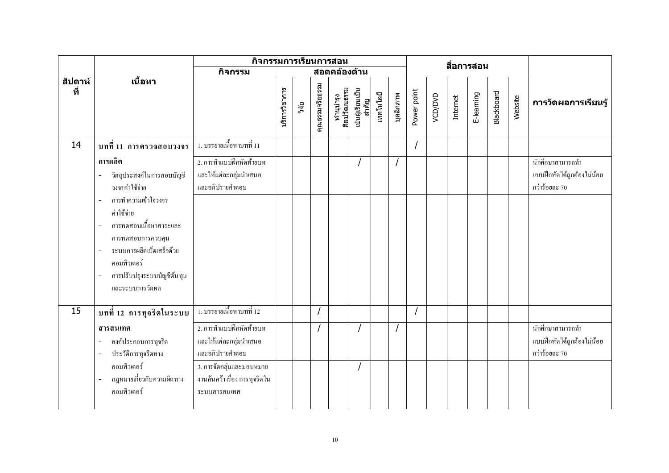|                |                                                                                                                                                                                                            | กิจกรรมการเรียนการสอน                                                     |               |       |                 |                           |                           |           |           |             |         | สื่อการสอน |            |                   |         |                                                                 |
|----------------|------------------------------------------------------------------------------------------------------------------------------------------------------------------------------------------------------------|---------------------------------------------------------------------------|---------------|-------|-----------------|---------------------------|---------------------------|-----------|-----------|-------------|---------|------------|------------|-------------------|---------|-----------------------------------------------------------------|
|                |                                                                                                                                                                                                            | กิจกรรม                                                                   |               |       |                 | สอดคล้องด้าน              |                           |           |           |             |         |            |            |                   |         |                                                                 |
| สัปดาห์<br>ที่ | เนื้อหา                                                                                                                                                                                                    |                                                                           | บริการวิชาการ | วิจัย | คุณธรรมจริยธรรม | ทำนุบำรุง<br>ศิลปวัฒนธรรม | เน้นผู้เรียนเป็น<br>สำคัญ | เทคโนโลยี | บุคลิกภาพ | Power point | VCD/DVD | Internet   | E-learning | <b>Blackboard</b> | Website | การวัดผลการเรียนรู้                                             |
| 14             | บทที่ 11 การตรวจสอบวงจร                                                                                                                                                                                    | 1. บรรยายเนื้อหาบทที่ 11                                                  |               |       |                 |                           |                           |           |           |             |         |            |            |                   |         |                                                                 |
|                | การผลิต<br>วัตถุประสงค์ในการสอบบัญชี<br>วงจรค่าใช้จ่าย                                                                                                                                                     | 2. การทำแบบฝึกหัดท้ายบท<br>และให้แต่ละกลุ่มนำเสนอ<br>และอภิปรายคำตอบ      |               |       |                 |                           |                           |           |           |             |         |            |            |                   |         | นักศึกษาสามารถทำ<br>แบบฝึกหัดได้ถูกต้องไม่น้อย<br>กว่าร้อยละ 70 |
|                | การทำความเข้าใจวงจร<br>$\overline{\phantom{a}}$<br>ค่าใช้จ่าย<br>ิ การทดสอบเนื้อหาสาระและ<br>การทดสอบการควบคุม<br>ระบบการผลิตเบ็ดเสร็จค้วย<br>คอมพิวเตอร์<br>การปรับปรุงระบบบัญชีต้นทุน<br>และระบบการวัดผล |                                                                           |               |       |                 |                           |                           |           |           |             |         |            |            |                   |         |                                                                 |
| 15             | บทที่ 12 การทุจริตในระบบ                                                                                                                                                                                   | 1. บรรยายเนื้อหาบทที่ 12                                                  |               |       |                 |                           |                           |           |           |             |         |            |            |                   |         |                                                                 |
|                | สารสนเทศ<br>องค์ประกอบการทุจริต<br>ประวัติการทุจริตทาง                                                                                                                                                     | 2. การทำแบบฝึกหัดท้ายบท<br>และให้แต่ละกลุ่มนำเสนอ<br>และอภิปรายคำตอบ      |               |       |                 |                           |                           |           |           |             |         |            |            |                   |         | นักศึกษาสามารถทำ<br>แบบฝึกหัดได้ถูกต้องไม่น้อย<br>กว่าร้อยละ 70 |
|                | คอมพิวเตอร์<br>ึ กฎหมายเกี่ยวกับความผิดทาง<br>คอมพิวเตอร์                                                                                                                                                  | 3. การจัดกลุ่มและมอบหมาย<br>งานค้นคว้า เรื่อง การทุจริตใน<br>ระบบสารสนเทศ |               |       |                 |                           |                           |           |           |             |         |            |            |                   |         |                                                                 |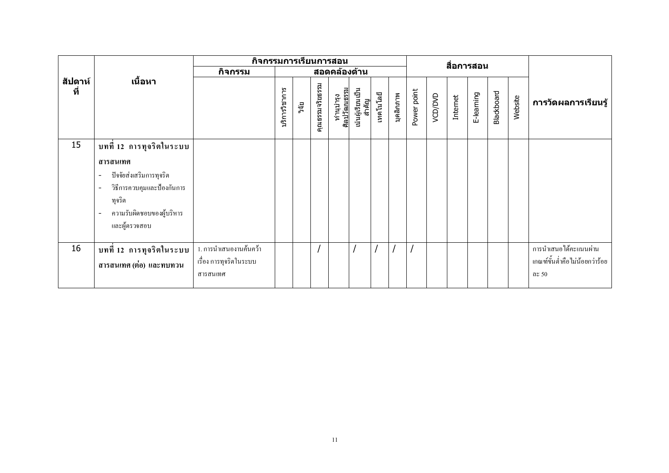|                |                                                                                                                                                                                                     | กิจกรรมการเรียนการสอน                                        |               |       |                 |                           |                           |           |           |             |         |          | สื่อการสอน |                   |         |                                                                  |
|----------------|-----------------------------------------------------------------------------------------------------------------------------------------------------------------------------------------------------|--------------------------------------------------------------|---------------|-------|-----------------|---------------------------|---------------------------|-----------|-----------|-------------|---------|----------|------------|-------------------|---------|------------------------------------------------------------------|
|                |                                                                                                                                                                                                     | กิจกรรม                                                      |               |       |                 | ี่สอดคล <i>้</i> องด้าน   |                           |           |           |             |         |          |            |                   |         |                                                                  |
| สัปดาห์<br>ที่ | เนื้อหา                                                                                                                                                                                             |                                                              | เริการวิชาการ | วิจัย | คุณธรรมจริยธรรม | ทำนุบำรุง<br>ศิลปวัฒนธรรม | เน้นผู้เรียนเป็น<br>สำคัญ | เทคโนโลยี | บุคลิกภาพ | Power point | VCD/DVD | Internet | E-learning | <b>Blackboard</b> | Website | การวัดผลการเรียนรู้                                              |
| 15             | บทที่ 12 การทุจริตในระบบ<br>สารสนเทศ<br>ปัจจัยส่งเสริมการทุจริต<br>$\overline{\phantom{a}}$<br>วิธีการควบคุมและป้องกันการ<br>$\blacksquare$<br>ทุจริต<br>ความรับผิดชอบของผู้บริหาร<br>และผู้ตรวจสอบ |                                                              |               |       |                 |                           |                           |           |           |             |         |          |            |                   |         |                                                                  |
| 16             | บทที่ 12 การทุจริตในระบบ<br>สารสนเทศ (ต่อ) และทบทวน                                                                                                                                                 | 1. การนำเสนองานค้นคว้า<br>เรื่อง การทุจริตในระบบ<br>สารสนเทศ |               |       |                 |                           |                           |           |           |             |         |          |            |                   |         | การนำเสนอได้คะแนนผ่าน<br>เกณฑ์ขั้นต่ำคือไม่น้อยกว่าร้อย<br>ดะ 50 |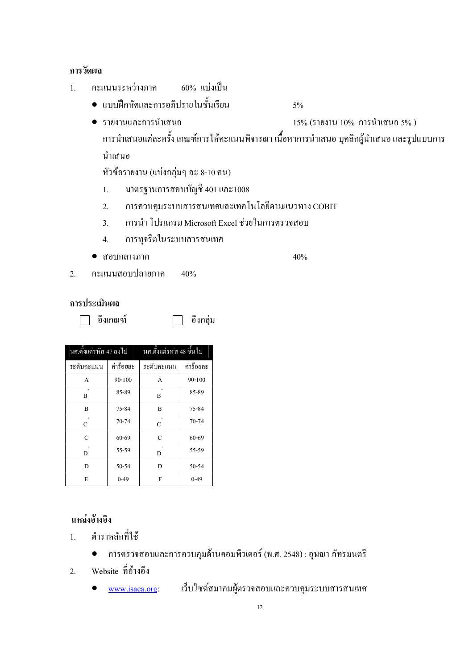### การวัดผล

- $\overline{1}$ . คะแนนระหว่างภาค - 60% แบ่งเป็น
	- $\bullet$  แบบฝึกหัดและการอภิปรายในชั้นเรียน  $^{5\%}$
	- $\bullet$  รายงานและการนำเสนอ  $\qquad \qquad \qquad 1$ 5% (รายงาน 10% การนำเสนอ 5% ) การนำเสนอแต่ละครั้ง เกณฑ์การให้คะแนนพิจารณา เนื้อหาการนำเสนอ บุคลิกผู้นำเสนอ และรูปแบบการ นำเสนอ

หัวข้อรายงาน (แบ่งกลุ่มๆ ละ 8-10 คน)

- -. มาตรฐานการสอบบัญชี 401 และ1008
- 2. การควบคุมระบบสารสนเทศและเทคโนโลขีตามแนวทาง COBIT
- 3. การนำ โปรแกรม Microsoft Excel ช่วยในการตรวจสอบ
- 4. การทุจริตในระบบสารสนเทศ
- สอบกลางภาค

 $\eta$  and  $40\%$ 

2. คะแนนสอบปลายภาค 40%

### การประเมินผล

 $\Box$ อิงเกณฑ์  $\Box$ อิงกลุ่ม

| นศ.ตั้งแต่รหัส 47 ลงไป |            | <u>นศ.ตั้งแต่รหัส 48 ขึ้นไป</u> |            |
|------------------------|------------|---------------------------------|------------|
| ระดับคะแนน             | ค่าร้อยละ  | ระดับคะแนน                      | ค่าร้อยละ  |
| A                      | $90 - 100$ | A                               | $90 - 100$ |
| $\ddot{}$<br>B         | 85-89      | $\ddot{}$<br>B                  | 85-89      |
| B                      | 75-84      | B                               | 75-84      |
| C                      | $70 - 74$  | $+$<br>$\mathcal{C}$            | $70 - 74$  |
| $\mathcal{C}$          | 60-69      | C                               | 60-69      |
| D                      | 55-59      | D                               | 55-59      |
| D                      | $50 - 54$  | D                               | 50-54      |
| E                      | $0 - 49$   | F                               | $0 - 49$   |

### แหล่งอ้างอิง

- $\mathbf{1}$ . ตำราหลักที่ใช้
	- $\bullet$  การตรวจสอบและการควบคุมด้านคอมพิวเตอร์ (พ.ศ. 2548) : อุษณา ภัทรมนตรี
- 2. Website ที่อ้างอิง
	- <u>www.isaca.or</u>g: เว็บไซด์สมาคมผู้ตรวจสอบและควบคุมระบบสารสนเทศ